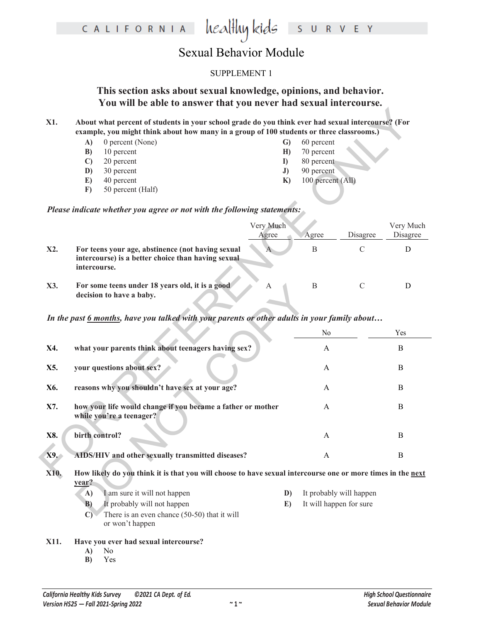|      | <b>Sexual Behavior Module</b>                                                                                                                                                                                                           |                                                                                                                                                                                                               |                         |               |                       |
|------|-----------------------------------------------------------------------------------------------------------------------------------------------------------------------------------------------------------------------------------------|---------------------------------------------------------------------------------------------------------------------------------------------------------------------------------------------------------------|-------------------------|---------------|-----------------------|
|      | <b>SUPPLEMENT 1</b>                                                                                                                                                                                                                     |                                                                                                                                                                                                               |                         |               |                       |
|      | This section asks about sexual knowledge, opinions, and behavior.<br>You will be able to answer that you never had sexual intercourse.                                                                                                  |                                                                                                                                                                                                               |                         |               |                       |
| X1.  | example, you might think about how many in a group of 100 students or three classrooms.)<br>0 percent (None)<br>A)<br>10 percent<br>B)<br>20 percent<br>$\mathbf{C}$<br>30 percent<br>D)<br>40 percent<br>E)<br>50 percent (Half)<br>F) | About what percent of students in your school grade do you think ever had sexual intercourse? (For<br>60 percent<br>G)<br>70 percent<br>H)<br>80 percent<br>I)<br>90 percent<br>J)<br>100 percent (All)<br>K) |                         |               |                       |
|      | Please indicate whether you agree or not with the following statements:                                                                                                                                                                 |                                                                                                                                                                                                               |                         |               |                       |
|      |                                                                                                                                                                                                                                         | Very Much<br>Agree                                                                                                                                                                                            | Agree                   | Disagree      | Very Much<br>Disagree |
| X2.  | For teens your age, abstinence (not having sexual<br>intercourse) is a better choice than having sexual<br>intercourse.                                                                                                                 | A                                                                                                                                                                                                             | B                       | $\mathcal{C}$ | D                     |
| X3.  | For some teens under 18 years old, it is a good<br>decision to have a baby.                                                                                                                                                             | A                                                                                                                                                                                                             | B                       | $\mathcal{C}$ | D                     |
|      | In the past 6 months, have you talked with your parents or other adults in your family about                                                                                                                                            |                                                                                                                                                                                                               |                         |               |                       |
|      |                                                                                                                                                                                                                                         |                                                                                                                                                                                                               | N <sub>0</sub>          |               | Yes                   |
| X4.  | what your parents think about teenagers having sex?                                                                                                                                                                                     |                                                                                                                                                                                                               | A                       |               | B                     |
| X5.  | your questions about sex?                                                                                                                                                                                                               |                                                                                                                                                                                                               | A                       |               | B                     |
| X6.  | reasons why you shouldn't have sex at your age?                                                                                                                                                                                         |                                                                                                                                                                                                               | A                       |               | B                     |
| X7.  | how your life would change if you became a father or mother<br>while you're a teenager?                                                                                                                                                 |                                                                                                                                                                                                               | A                       |               | B                     |
| X8.  | birth control?                                                                                                                                                                                                                          |                                                                                                                                                                                                               | A                       |               | B                     |
| X9.  | AIDS/HIV and other sexually transmitted diseases?                                                                                                                                                                                       |                                                                                                                                                                                                               | A                       |               | B                     |
| X10. | How likely do you think it is that you will choose to have sexual intercourse one or more times in the next<br>year?                                                                                                                    |                                                                                                                                                                                                               |                         |               |                       |
|      | I am sure it will not happen<br>A)                                                                                                                                                                                                      | D)                                                                                                                                                                                                            | It probably will happen |               |                       |
|      | It probably will not happen<br>B)                                                                                                                                                                                                       | E)                                                                                                                                                                                                            | It will happen for sure |               |                       |
|      | There is an even chance (50-50) that it will<br>$\bigcap$                                                                                                                                                                               |                                                                                                                                                                                                               |                         |               |                       |

healthykids surver

- **B)** It probably will not happen **E)** It will happen for sure
- **C)** There is an even chance (50-50) that it will or won't happen

CALIFORNIA

- **X11. Have you ever had sexual intercourse?**
	- **A)** No
	- **B)** Yes